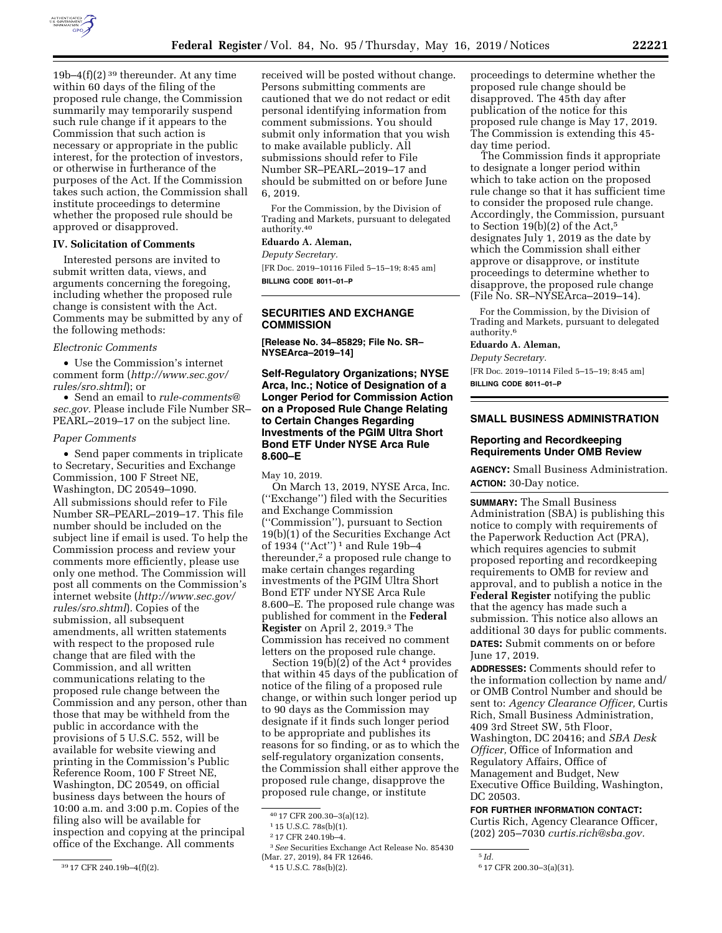

19b–4 $(f)(2)$ <sup>39</sup> thereunder. At any time within 60 days of the filing of the proposed rule change, the Commission summarily may temporarily suspend such rule change if it appears to the Commission that such action is necessary or appropriate in the public interest, for the protection of investors, or otherwise in furtherance of the purposes of the Act. If the Commission takes such action, the Commission shall institute proceedings to determine whether the proposed rule should be approved or disapproved.

# **IV. Solicitation of Comments**

Interested persons are invited to submit written data, views, and arguments concerning the foregoing, including whether the proposed rule change is consistent with the Act. Comments may be submitted by any of the following methods:

#### *Electronic Comments*

• Use the Commission's internet comment form (*[http://www.sec.gov/](http://www.sec.gov/rules/sro.shtml)  [rules/sro.shtml](http://www.sec.gov/rules/sro.shtml)*); or

• Send an email to *[rule-comments@](mailto:rule-comments@sec.gov) [sec.gov.](mailto:rule-comments@sec.gov)* Please include File Number SR– PEARL–2019–17 on the subject line.

## *Paper Comments*

• Send paper comments in triplicate to Secretary, Securities and Exchange Commission, 100 F Street NE, Washington, DC 20549–1090. All submissions should refer to File Number SR–PEARL–2019–17. This file number should be included on the subject line if email is used. To help the Commission process and review your comments more efficiently, please use only one method. The Commission will post all comments on the Commission's internet website (*[http://www.sec.gov/](http://www.sec.gov/rules/sro.shtml)  [rules/sro.shtml](http://www.sec.gov/rules/sro.shtml)*). Copies of the submission, all subsequent amendments, all written statements with respect to the proposed rule change that are filed with the Commission, and all written communications relating to the proposed rule change between the Commission and any person, other than those that may be withheld from the public in accordance with the provisions of 5 U.S.C. 552, will be available for website viewing and printing in the Commission's Public Reference Room, 100 F Street NE, Washington, DC 20549, on official business days between the hours of 10:00 a.m. and 3:00 p.m. Copies of the filing also will be available for inspection and copying at the principal office of the Exchange. All comments

received will be posted without change. Persons submitting comments are cautioned that we do not redact or edit personal identifying information from comment submissions. You should submit only information that you wish to make available publicly. All submissions should refer to File Number SR–PEARL–2019–17 and should be submitted on or before June 6, 2019.

For the Commission, by the Division of Trading and Markets, pursuant to delegated authority.40

# **Eduardo A. Aleman,**

*Deputy Secretary.* 

[FR Doc. 2019–10116 Filed 5–15–19; 8:45 am] **BILLING CODE 8011–01–P** 

## **SECURITIES AND EXCHANGE COMMISSION**

**[Release No. 34–85829; File No. SR– NYSEArca–2019–14]** 

**Self-Regulatory Organizations; NYSE Arca, Inc.; Notice of Designation of a Longer Period for Commission Action on a Proposed Rule Change Relating to Certain Changes Regarding Investments of the PGIM Ultra Short Bond ETF Under NYSE Arca Rule 8.600–E** 

May 10, 2019.

On March 13, 2019, NYSE Arca, Inc. (''Exchange'') filed with the Securities and Exchange Commission (''Commission''), pursuant to Section 19(b)(1) of the Securities Exchange Act of 1934 (''Act'') 1 and Rule 19b–4 thereunder,2 a proposed rule change to make certain changes regarding investments of the PGIM Ultra Short Bond ETF under NYSE Arca Rule 8.600–E. The proposed rule change was published for comment in the **Federal Register** on April 2, 2019.3 The Commission has received no comment letters on the proposed rule change.

Section  $19(b)(2)$  of the Act<sup>4</sup> provides that within 45 days of the publication of notice of the filing of a proposed rule change, or within such longer period up to 90 days as the Commission may designate if it finds such longer period to be appropriate and publishes its reasons for so finding, or as to which the self-regulatory organization consents, the Commission shall either approve the proposed rule change, disapprove the proposed rule change, or institute

proceedings to determine whether the proposed rule change should be disapproved. The 45th day after publication of the notice for this proposed rule change is May 17, 2019. The Commission is extending this 45 day time period.

The Commission finds it appropriate to designate a longer period within which to take action on the proposed rule change so that it has sufficient time to consider the proposed rule change. Accordingly, the Commission, pursuant to Section 19(b)(2) of the Act,5 designates July 1, 2019 as the date by which the Commission shall either approve or disapprove, or institute proceedings to determine whether to disapprove, the proposed rule change (File No. SR–NYSEArca–2019–14).

For the Commission, by the Division of Trading and Markets, pursuant to delegated authority.6

## **Eduardo A. Aleman,**

*Deputy Secretary.* 

[FR Doc. 2019–10114 Filed 5–15–19; 8:45 am] **BILLING CODE 8011–01–P** 

# **SMALL BUSINESS ADMINISTRATION**

## **Reporting and Recordkeeping Requirements Under OMB Review**

**AGENCY:** Small Business Administration. **ACTION:** 30-Day notice.

**SUMMARY:** The Small Business Administration (SBA) is publishing this notice to comply with requirements of the Paperwork Reduction Act (PRA), which requires agencies to submit proposed reporting and recordkeeping requirements to OMB for review and approval, and to publish a notice in the **Federal Register** notifying the public that the agency has made such a submission. This notice also allows an additional 30 days for public comments. **DATES:** Submit comments on or before June 17, 2019.

**ADDRESSES:** Comments should refer to the information collection by name and/ or OMB Control Number and should be sent to: *Agency Clearance Officer,* Curtis Rich, Small Business Administration, 409 3rd Street SW, 5th Floor, Washington, DC 20416; and *SBA Desk Officer,* Office of Information and Regulatory Affairs, Office of Management and Budget, New Executive Office Building, Washington, DC 20503.

## **FOR FURTHER INFORMATION CONTACT:**

Curtis Rich, Agency Clearance Officer, (202) 205–7030 *[curtis.rich@sba.gov.](mailto:curtis.rich@sba.gov)* 

5 *Id.* 

<sup>39</sup> 17 CFR 240.19b–4(f)(2).

<sup>40</sup> 17 CFR 200.30–3(a)(12).

<sup>1</sup> 15 U.S.C. 78s(b)(1).

<sup>2</sup> 17 CFR 240.19b–4.

<sup>3</sup>*See* Securities Exchange Act Release No. 85430 (Mar. 27, 2019), 84 FR 12646.

<sup>4</sup> 15 U.S.C. 78s(b)(2).

<sup>6</sup> 17 CFR 200.30–3(a)(31).